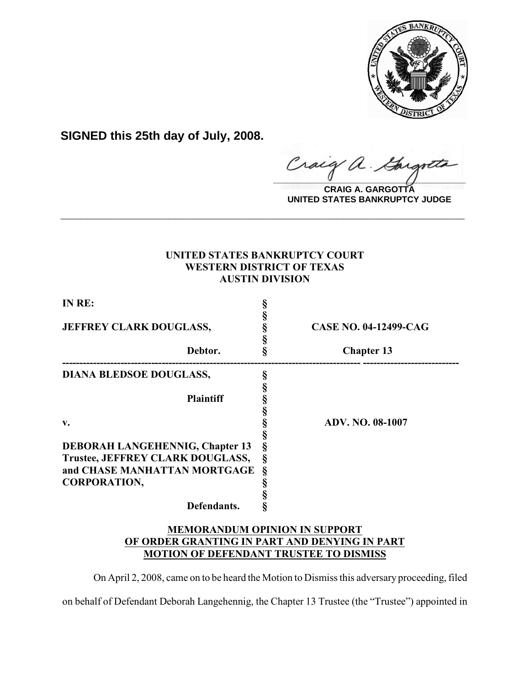

**SIGNED this 25th day of July, 2008.**

**\_\_\_\_\_\_\_\_\_\_\_\_\_\_\_\_\_\_\_\_\_\_\_\_\_\_\_\_\_\_\_\_\_\_\_\_\_\_\_\_**  $\alpha$ .

**CRAIG A. GARGOTTA UNITED STATES BANKRUPTCY JUDGE**

# **UNITED STATES BANKRUPTCY COURT WESTERN DISTRICT OF TEXAS AUSTIN DIVISION**

**\_\_\_\_\_\_\_\_\_\_\_\_\_\_\_\_\_\_\_\_\_\_\_\_\_\_\_\_\_\_\_\_\_\_\_\_\_\_\_\_\_\_\_\_\_\_\_\_\_\_\_\_\_\_\_\_\_\_\_\_**

| IN RE:                                 |        |                              |
|----------------------------------------|--------|------------------------------|
|                                        |        |                              |
| <b>JEFFREY CLARK DOUGLASS,</b>         | §      | <b>CASE NO. 04-12499-CAG</b> |
| Debtor.                                | §<br>Ş | <b>Chapter 13</b>            |
|                                        |        |                              |
| <b>DIANA BLEDSOE DOUGLASS,</b>         |        |                              |
|                                        |        |                              |
| <b>Plaintiff</b>                       |        |                              |
|                                        |        |                              |
| $\mathbf{v}$ .                         |        | <b>ADV. NO. 08-1007</b>      |
|                                        |        |                              |
| <b>DEBORAH LANGEHENNIG, Chapter 13</b> |        |                              |
| Trustee, JEFFREY CLARK DOUGLASS,       | Ş      |                              |
| and CHASE MANHATTAN MORTGAGE           | ş      |                              |
| <b>CORPORATION,</b>                    |        |                              |
|                                        |        |                              |
| Defendants.                            |        |                              |
|                                        |        |                              |

# **MEMORANDUM OPINION IN SUPPORT OF ORDER GRANTING IN PART AND DENYING IN PART MOTION OF DEFENDANT TRUSTEE TO DISMISS**

On April 2, 2008, came on to be heard the Motion to Dismiss this adversary proceeding, filed

on behalf of Defendant Deborah Langehennig, the Chapter 13 Trustee (the "Trustee") appointed in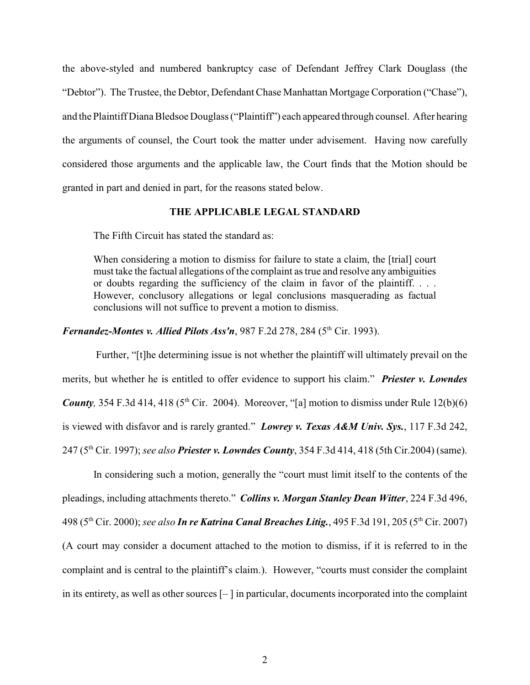the above-styled and numbered bankruptcy case of Defendant Jeffrey Clark Douglass (the "Debtor"). The Trustee, the Debtor, Defendant Chase Manhattan Mortgage Corporation ("Chase"), and the Plaintiff Diana Bledsoe Douglass ("Plaintiff") each appeared through counsel. After hearing the arguments of counsel, the Court took the matter under advisement. Having now carefully considered those arguments and the applicable law, the Court finds that the Motion should be granted in part and denied in part, for the reasons stated below.

## **THE APPLICABLE LEGAL STANDARD**

The Fifth Circuit has stated the standard as:

When considering a motion to dismiss for failure to state a claim, the [trial] court must take the factual allegations of the complaint as true and resolve any ambiguities or doubts regarding the sufficiency of the claim in favor of the plaintiff. . . . However, conclusory allegations or legal conclusions masquerading as factual conclusions will not suffice to prevent a motion to dismiss.

*Fernandez-Montes v. Allied Pilots Ass'n*, 987 F.2d 278, 284 (5<sup>th</sup> Cir. 1993).

 Further, "[t]he determining issue is not whether the plaintiff will ultimately prevail on the merits, but whether he is entitled to offer evidence to support his claim." *Priester v. Lowndes County*, 354 F.3d 414, 418 ( $5<sup>th</sup> Cir. 2004$ ). Moreover, "[a] motion to dismiss under Rule 12(b)(6) is viewed with disfavor and is rarely granted." *Lowrey v. Texas A&M Univ. Sys.*, 117 F.3d 242, 247 (5<sup>th</sup> Cir. 1997); *see also Priester v. Lowndes County*, 354 F.3d 414, 418 (5th Cir.2004) (same).

In considering such a motion, generally the "court must limit itself to the contents of the pleadings, including attachments thereto." *Collins v. Morgan Stanley Dean Witter*, 224 F.3d 496, 498 (5<sup>th</sup> Cir. 2000); *see also In re Katrina Canal Breaches Litig., 495 F.3d 191, 205 (5<sup>th</sup> Cir. 2007)* (A court may consider a document attached to the motion to dismiss, if it is referred to in the complaint and is central to the plaintiff's claim.). However, "courts must consider the complaint in its entirety, as well as other sources [– ] in particular, documents incorporated into the complaint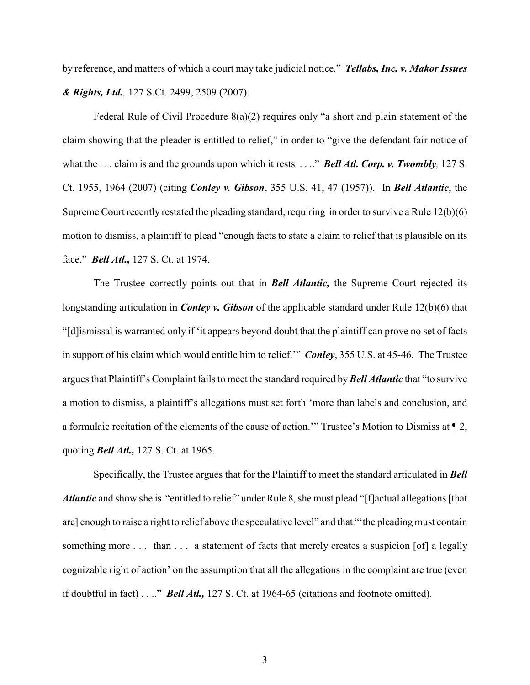by reference, and matters of which a court may take judicial notice." *Tellabs, Inc. v. Makor Issues & Rights, Ltd.,* 127 S.Ct. 2499, 2509 (2007).

Federal Rule of Civil Procedure 8(a)(2) requires only "a short and plain statement of the claim showing that the pleader is entitled to relief," in order to "give the defendant fair notice of what the . . . claim is and the grounds upon which it rests . . .." *Bell Atl. Corp. v. Twombly,* 127 S. Ct. 1955, 1964 (2007) (citing *Conley v. Gibson*, 355 U.S. 41, 47 (1957)). In *Bell Atlantic*, the Supreme Court recently restated the pleading standard, requiring in order to survive a Rule 12(b)(6) motion to dismiss, a plaintiff to plead "enough facts to state a claim to relief that is plausible on its face." *Bell Atl.***,** 127 S. Ct. at 1974.

The Trustee correctly points out that in *Bell Atlantic,* the Supreme Court rejected its longstanding articulation in *Conley v. Gibson* of the applicable standard under Rule 12(b)(6) that "[d]ismissal is warranted only if 'it appears beyond doubt that the plaintiff can prove no set of facts in support of his claim which would entitle him to relief.'" *Conley*, 355 U.S. at 45-46. The Trustee argues that Plaintiff's Complaint fails to meet the standard required by *Bell Atlantic* that "to survive a motion to dismiss, a plaintiff's allegations must set forth 'more than labels and conclusion, and a formulaic recitation of the elements of the cause of action.'" Trustee's Motion to Dismiss at ¶ 2, quoting *Bell Atl.,* 127 S. Ct. at 1965.

Specifically, the Trustee argues that for the Plaintiff to meet the standard articulated in *Bell Atlantic* and show she is "entitled to relief" under Rule 8, she must plead "[f]actual allegations [that are] enough to raise a right to relief above the speculative level" and that "'the pleading must contain something more . . . than . . . a statement of facts that merely creates a suspicion [of] a legally cognizable right of action' on the assumption that all the allegations in the complaint are true (even if doubtful in fact) . . .." *Bell Atl.,* 127 S. Ct. at 1964-65 (citations and footnote omitted).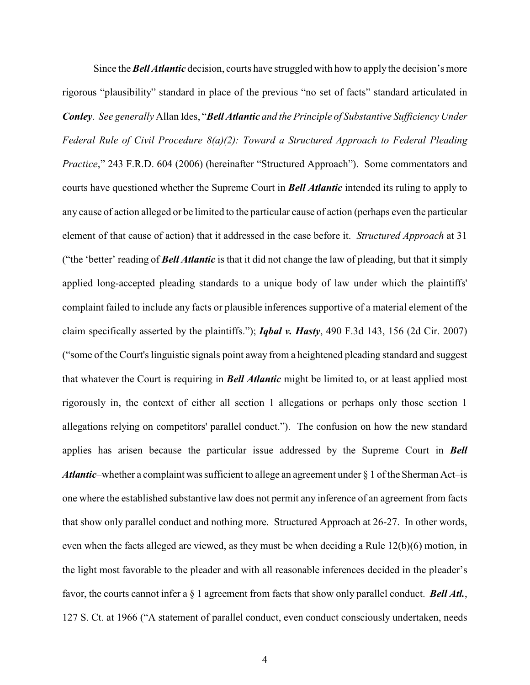Since the *Bell Atlantic* decision, courts have struggled with how to apply the decision's more rigorous "plausibility" standard in place of the previous "no set of facts" standard articulated in *Conley*. *See generally* Allan Ides, "*Bell Atlantic and the Principle of Substantive Sufficiency Under Federal Rule of Civil Procedure 8(a)(2): Toward a Structured Approach to Federal Pleading Practice*," 243 F.R.D. 604 (2006) (hereinafter "Structured Approach"). Some commentators and courts have questioned whether the Supreme Court in *Bell Atlantic* intended its ruling to apply to any cause of action alleged or be limited to the particular cause of action (perhaps even the particular element of that cause of action) that it addressed in the case before it. *Structured Approach* at 31 ("the 'better' reading of *Bell Atlantic* is that it did not change the law of pleading, but that it simply applied long-accepted pleading standards to a unique body of law under which the plaintiffs' complaint failed to include any facts or plausible inferences supportive of a material element of the claim specifically asserted by the plaintiffs."); *Iqbal v. Hasty*, 490 F.3d 143, 156 (2d Cir. 2007) ("some of the Court's linguistic signals point away from a heightened pleading standard and suggest that whatever the Court is requiring in *Bell Atlantic* might be limited to, or at least applied most rigorously in, the context of either all section 1 allegations or perhaps only those section 1 allegations relying on competitors' parallel conduct."). The confusion on how the new standard applies has arisen because the particular issue addressed by the Supreme Court in *Bell Atlantic*–whether a complaint was sufficient to allege an agreement under  $\S$  1 of the Sherman Act–is one where the established substantive law does not permit any inference of an agreement from facts that show only parallel conduct and nothing more. Structured Approach at 26-27. In other words, even when the facts alleged are viewed, as they must be when deciding a Rule 12(b)(6) motion, in the light most favorable to the pleader and with all reasonable inferences decided in the pleader's favor, the courts cannot infer a § 1 agreement from facts that show only parallel conduct. *Bell Atl.*, 127 S. Ct. at 1966 ("A statement of parallel conduct, even conduct consciously undertaken, needs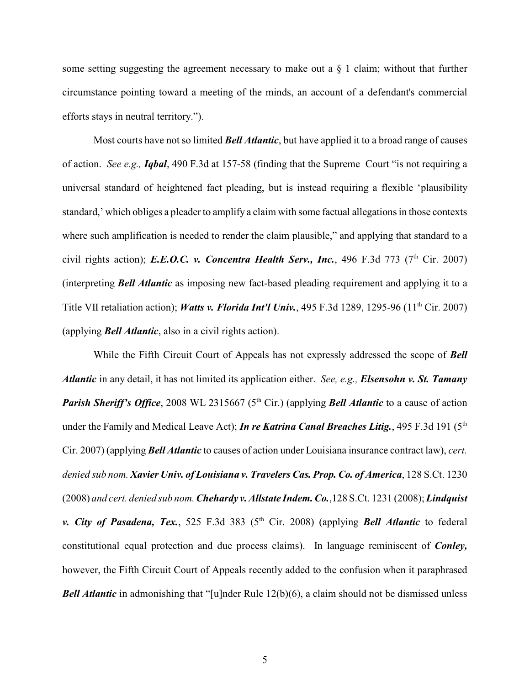some setting suggesting the agreement necessary to make out a  $\S$  1 claim; without that further circumstance pointing toward a meeting of the minds, an account of a defendant's commercial efforts stays in neutral territory.").

Most courts have not so limited *Bell Atlantic*, but have applied it to a broad range of causes of action. *See e.g., Iqbal*, 490 F.3d at 157-58 (finding that the Supreme Court "is not requiring a universal standard of heightened fact pleading, but is instead requiring a flexible 'plausibility standard,' which obliges a pleader to amplify a claim with some factual allegations in those contexts where such amplification is needed to render the claim plausible," and applying that standard to a civil rights action); *E.E.O.C. v. Concentra Health Serv., Inc.*, 496 F.3d 773 (7<sup>th</sup> Cir. 2007) (interpreting *Bell Atlantic* as imposing new fact-based pleading requirement and applying it to a Title VII retaliation action); *Watts v. Florida Int'l Univ.*, 495 F.3d 1289, 1295-96 (11<sup>th</sup> Cir. 2007) (applying *Bell Atlantic*, also in a civil rights action).

While the Fifth Circuit Court of Appeals has not expressly addressed the scope of *Bell Atlantic* in any detail, it has not limited its application either. *See, e.g., Elsensohn v. St. Tamany Parish Sheriff's Office*, 2008 WL 2315667 (5<sup>th</sup> Cir.) (applying *Bell Atlantic* to a cause of action under the Family and Medical Leave Act); *In re Katrina Canal Breaches Litig.*, 495 F.3d 191 (5<sup>th</sup> Cir. 2007) (applying *Bell Atlantic* to causes of action under Louisiana insurance contract law), *cert. denied sub nom. Xavier Univ. of Louisiana v. Travelers Cas. Prop. Co. of America*, 128 S.Ct. 1230 (2008) *and cert. denied sub nom. Chehardy v. Allstate Indem. Co.*,128 S.Ct. 1231 (2008); *Lindquist v. City of Pasadena, Tex.*, 525 F.3d 383 (5<sup>th</sup> Cir. 2008) (applying *Bell Atlantic* to federal constitutional equal protection and due process claims). In language reminiscent of *Conley,* however, the Fifth Circuit Court of Appeals recently added to the confusion when it paraphrased *Bell Atlantic* in admonishing that "[u]nder Rule 12(b)(6), a claim should not be dismissed unless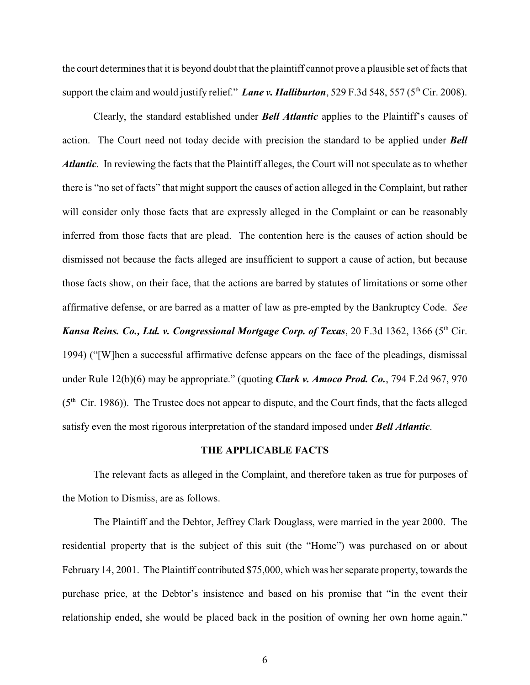the court determines that it is beyond doubt that the plaintiff cannot prove a plausible set of facts that support the claim and would justify relief." *Lane v. Halliburton*, 529 F.3d 548, 557 (5<sup>th</sup> Cir. 2008).

Clearly, the standard established under *Bell Atlantic* applies to the Plaintiff's causes of action. The Court need not today decide with precision the standard to be applied under *Bell Atlantic*. In reviewing the facts that the Plaintiff alleges, the Court will not speculate as to whether there is "no set of facts" that might support the causes of action alleged in the Complaint, but rather will consider only those facts that are expressly alleged in the Complaint or can be reasonably inferred from those facts that are plead. The contention here is the causes of action should be dismissed not because the facts alleged are insufficient to support a cause of action, but because those facts show, on their face, that the actions are barred by statutes of limitations or some other affirmative defense, or are barred as a matter of law as pre-empted by the Bankruptcy Code. *See Kansa Reins. Co., Ltd. v. Congressional Mortgage Corp. of Texas, 20 F.3d 1362, 1366 (5<sup>th</sup> Cir.* 1994) ("[W]hen a successful affirmative defense appears on the face of the pleadings, dismissal under Rule 12(b)(6) may be appropriate." (quoting *Clark v. Amoco Prod. Co.*, 794 F.2d 967, 970  $(5<sup>th</sup> Cir. 1986)$ . The Trustee does not appear to dispute, and the Court finds, that the facts alleged satisfy even the most rigorous interpretation of the standard imposed under *Bell Atlantic*.

#### **THE APPLICABLE FACTS**

The relevant facts as alleged in the Complaint, and therefore taken as true for purposes of the Motion to Dismiss, are as follows.

The Plaintiff and the Debtor, Jeffrey Clark Douglass, were married in the year 2000. The residential property that is the subject of this suit (the "Home") was purchased on or about February 14, 2001. The Plaintiff contributed \$75,000, which was her separate property, towards the purchase price, at the Debtor's insistence and based on his promise that "in the event their relationship ended, she would be placed back in the position of owning her own home again."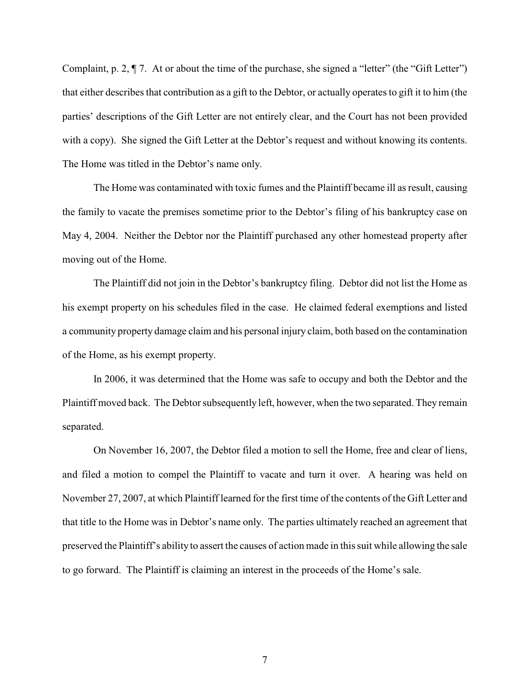Complaint, p. 2, ¶ 7. At or about the time of the purchase, she signed a "letter" (the "Gift Letter") that either describes that contribution as a gift to the Debtor, or actually operates to gift it to him (the parties' descriptions of the Gift Letter are not entirely clear, and the Court has not been provided with a copy). She signed the Gift Letter at the Debtor's request and without knowing its contents. The Home was titled in the Debtor's name only.

The Home was contaminated with toxic fumes and the Plaintiff became ill as result, causing the family to vacate the premises sometime prior to the Debtor's filing of his bankruptcy case on May 4, 2004. Neither the Debtor nor the Plaintiff purchased any other homestead property after moving out of the Home.

The Plaintiff did not join in the Debtor's bankruptcy filing. Debtor did not list the Home as his exempt property on his schedules filed in the case. He claimed federal exemptions and listed a community property damage claim and his personal injury claim, both based on the contamination of the Home, as his exempt property.

In 2006, it was determined that the Home was safe to occupy and both the Debtor and the Plaintiff moved back. The Debtor subsequently left, however, when the two separated. They remain separated.

On November 16, 2007, the Debtor filed a motion to sell the Home, free and clear of liens, and filed a motion to compel the Plaintiff to vacate and turn it over. A hearing was held on November 27, 2007, at which Plaintiff learned for the first time of the contents of the Gift Letter and that title to the Home was in Debtor's name only. The parties ultimately reached an agreement that preserved the Plaintiff's ability to assert the causes of action made in this suit while allowing the sale to go forward. The Plaintiff is claiming an interest in the proceeds of the Home's sale.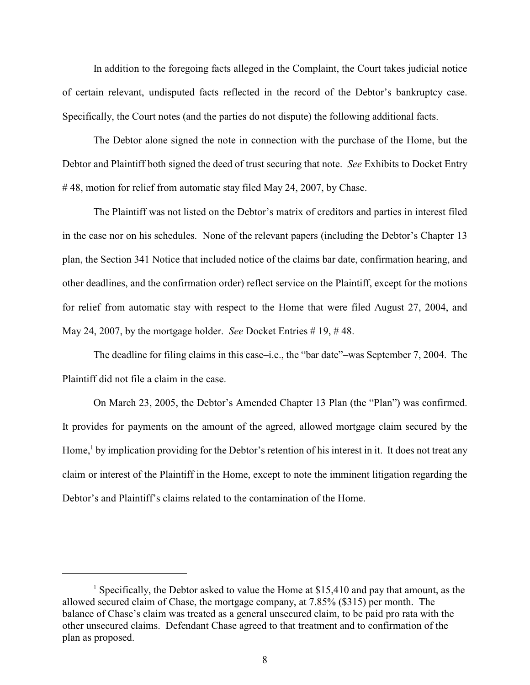In addition to the foregoing facts alleged in the Complaint, the Court takes judicial notice of certain relevant, undisputed facts reflected in the record of the Debtor's bankruptcy case. Specifically, the Court notes (and the parties do not dispute) the following additional facts.

The Debtor alone signed the note in connection with the purchase of the Home, but the Debtor and Plaintiff both signed the deed of trust securing that note. *See* Exhibits to Docket Entry #48, motion for relief from automatic stay filed May 24, 2007, by Chase.

The Plaintiff was not listed on the Debtor's matrix of creditors and parties in interest filed in the case nor on his schedules. None of the relevant papers (including the Debtor's Chapter 13 plan, the Section 341 Notice that included notice of the claims bar date, confirmation hearing, and other deadlines, and the confirmation order) reflect service on the Plaintiff, except for the motions for relief from automatic stay with respect to the Home that were filed August 27, 2004, and May 24, 2007, by the mortgage holder. *See* Docket Entries # 19, # 48.

The deadline for filing claims in this case–i.e., the "bar date"–was September 7, 2004. The Plaintiff did not file a claim in the case.

On March 23, 2005, the Debtor's Amended Chapter 13 Plan (the "Plan") was confirmed. It provides for payments on the amount of the agreed, allowed mortgage claim secured by the Home, $\frac{1}{1}$  by implication providing for the Debtor's retention of his interest in it. It does not treat any claim or interest of the Plaintiff in the Home, except to note the imminent litigation regarding the Debtor's and Plaintiff's claims related to the contamination of the Home.

<sup>&</sup>lt;sup>1</sup> Specifically, the Debtor asked to value the Home at \$15,410 and pay that amount, as the allowed secured claim of Chase, the mortgage company, at 7.85% (\$315) per month. The balance of Chase's claim was treated as a general unsecured claim, to be paid pro rata with the other unsecured claims. Defendant Chase agreed to that treatment and to confirmation of the plan as proposed.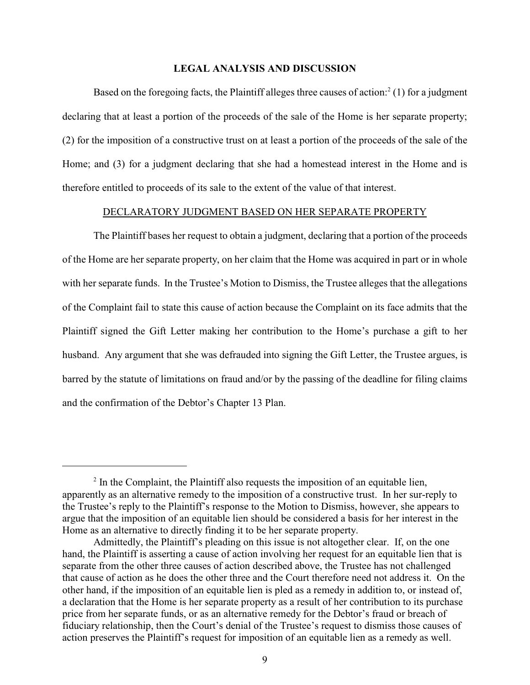### **LEGAL ANALYSIS AND DISCUSSION**

Based on the foregoing facts, the Plaintiff alleges three causes of action:  $(1)$  for a judgment declaring that at least a portion of the proceeds of the sale of the Home is her separate property; (2) for the imposition of a constructive trust on at least a portion of the proceeds of the sale of the Home; and (3) for a judgment declaring that she had a homestead interest in the Home and is therefore entitled to proceeds of its sale to the extent of the value of that interest.

### DECLARATORY JUDGMENT BASED ON HER SEPARATE PROPERTY

The Plaintiff bases her request to obtain a judgment, declaring that a portion of the proceeds of the Home are her separate property, on her claim that the Home was acquired in part or in whole with her separate funds. In the Trustee's Motion to Dismiss, the Trustee alleges that the allegations of the Complaint fail to state this cause of action because the Complaint on its face admits that the Plaintiff signed the Gift Letter making her contribution to the Home's purchase a gift to her husband. Any argument that she was defrauded into signing the Gift Letter, the Trustee argues, is barred by the statute of limitations on fraud and/or by the passing of the deadline for filing claims and the confirmation of the Debtor's Chapter 13 Plan.

 $<sup>2</sup>$  In the Complaint, the Plaintiff also requests the imposition of an equitable lien,</sup> apparently as an alternative remedy to the imposition of a constructive trust. In her sur-reply to the Trustee's reply to the Plaintiff's response to the Motion to Dismiss, however, she appears to argue that the imposition of an equitable lien should be considered a basis for her interest in the Home as an alternative to directly finding it to be her separate property.

Admittedly, the Plaintiff's pleading on this issue is not altogether clear. If, on the one hand, the Plaintiff is asserting a cause of action involving her request for an equitable lien that is separate from the other three causes of action described above, the Trustee has not challenged that cause of action as he does the other three and the Court therefore need not address it. On the other hand, if the imposition of an equitable lien is pled as a remedy in addition to, or instead of, a declaration that the Home is her separate property as a result of her contribution to its purchase price from her separate funds, or as an alternative remedy for the Debtor's fraud or breach of fiduciary relationship, then the Court's denial of the Trustee's request to dismiss those causes of action preserves the Plaintiff's request for imposition of an equitable lien as a remedy as well.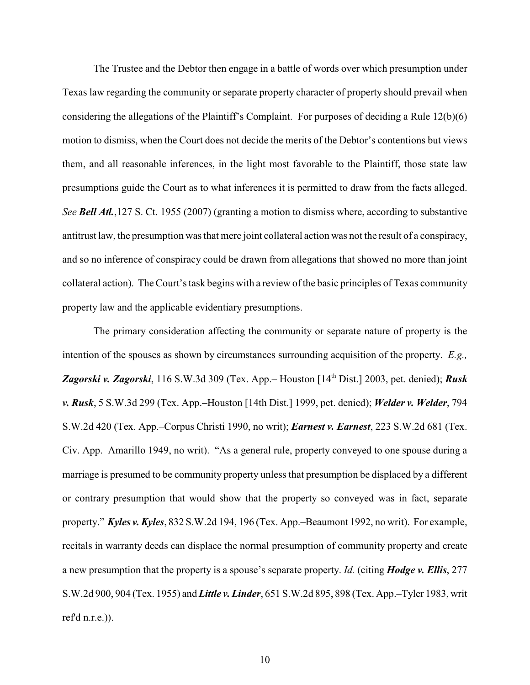The Trustee and the Debtor then engage in a battle of words over which presumption under Texas law regarding the community or separate property character of property should prevail when considering the allegations of the Plaintiff's Complaint. For purposes of deciding a Rule 12(b)(6) motion to dismiss, when the Court does not decide the merits of the Debtor's contentions but views them, and all reasonable inferences, in the light most favorable to the Plaintiff, those state law presumptions guide the Court as to what inferences it is permitted to draw from the facts alleged. *See Bell Atl.*,127 S. Ct. 1955 (2007) (granting a motion to dismiss where, according to substantive antitrust law, the presumption was that mere joint collateral action was not the result of a conspiracy, and so no inference of conspiracy could be drawn from allegations that showed no more than joint collateral action). The Court's task begins with a review of the basic principles of Texas community property law and the applicable evidentiary presumptions.

The primary consideration affecting the community or separate nature of property is the intention of the spouses as shown by circumstances surrounding acquisition of the property. *E.g.,* Zagorski v. Zagorski, 116 S.W.3d 309 (Tex. App.– Houston [14<sup>th</sup> Dist.] 2003, pet. denied); *Rusk v. Rusk*, 5 S.W.3d 299 (Tex. App.–Houston [14th Dist.] 1999, pet. denied); *Welder v. Welder*, 794 S.W.2d 420 (Tex. App.–Corpus Christi 1990, no writ); *Earnest v. Earnest*, 223 S.W.2d 681 (Tex. Civ. App.–Amarillo 1949, no writ). "As a general rule, property conveyed to one spouse during a marriage is presumed to be community property unless that presumption be displaced by a different or contrary presumption that would show that the property so conveyed was in fact, separate property." *Kyles v. Kyles*, 832 S.W.2d 194, 196 (Tex. App.–Beaumont 1992, no writ). For example, recitals in warranty deeds can displace the normal presumption of community property and create a new presumption that the property is a spouse's separate property. *Id.* (citing *Hodge v. Ellis*, 277 S.W.2d 900, 904 (Tex. 1955) and *Little v. Linder*, 651 S.W.2d 895, 898 (Tex. App.–Tyler 1983, writ ref'd n.r.e.)).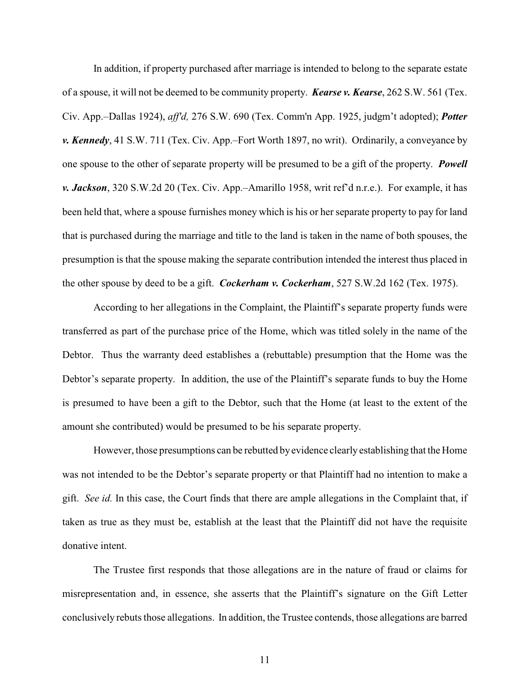In addition, if property purchased after marriage is intended to belong to the separate estate of a spouse, it will not be deemed to be community property. *Kearse v. Kearse*, 262 S.W. 561 (Tex. Civ. App.–Dallas 1924), *aff'd,* 276 S.W. 690 (Tex. Comm'n App. 1925, judgm't adopted); *Potter v. Kennedy*, 41 S.W. 711 (Tex. Civ. App.–Fort Worth 1897, no writ). Ordinarily, a conveyance by one spouse to the other of separate property will be presumed to be a gift of the property. *Powell v. Jackson*, 320 S.W.2d 20 (Tex. Civ. App.–Amarillo 1958, writ ref'd n.r.e.). For example, it has been held that, where a spouse furnishes money which is his or her separate property to pay for land that is purchased during the marriage and title to the land is taken in the name of both spouses, the presumption is that the spouse making the separate contribution intended the interest thus placed in the other spouse by deed to be a gift. *Cockerham v. Cockerham*, 527 S.W.2d 162 (Tex. 1975).

According to her allegations in the Complaint, the Plaintiff's separate property funds were transferred as part of the purchase price of the Home, which was titled solely in the name of the Debtor. Thus the warranty deed establishes a (rebuttable) presumption that the Home was the Debtor's separate property. In addition, the use of the Plaintiff's separate funds to buy the Home is presumed to have been a gift to the Debtor, such that the Home (at least to the extent of the amount she contributed) would be presumed to be his separate property.

However, those presumptions can be rebutted byevidence clearly establishing that the Home was not intended to be the Debtor's separate property or that Plaintiff had no intention to make a gift. *See id.* In this case, the Court finds that there are ample allegations in the Complaint that, if taken as true as they must be, establish at the least that the Plaintiff did not have the requisite donative intent.

The Trustee first responds that those allegations are in the nature of fraud or claims for misrepresentation and, in essence, she asserts that the Plaintiff's signature on the Gift Letter conclusively rebuts those allegations. In addition, the Trustee contends, those allegations are barred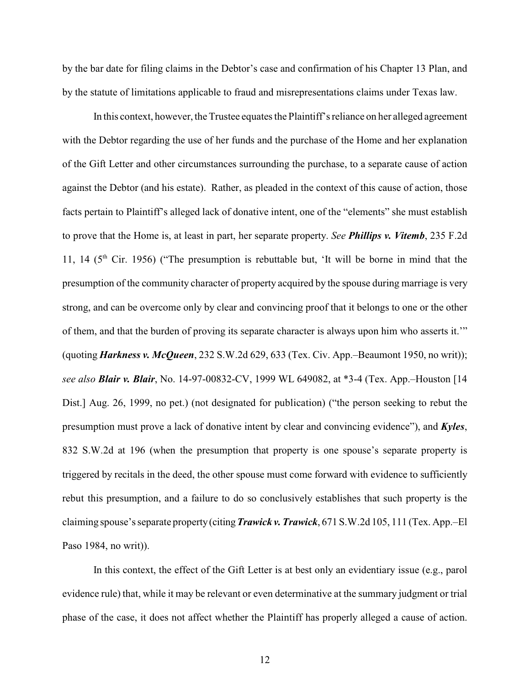by the bar date for filing claims in the Debtor's case and confirmation of his Chapter 13 Plan, and by the statute of limitations applicable to fraud and misrepresentations claims under Texas law.

In this context, however, the Trustee equates the Plaintiff's reliance on her alleged agreement with the Debtor regarding the use of her funds and the purchase of the Home and her explanation of the Gift Letter and other circumstances surrounding the purchase, to a separate cause of action against the Debtor (and his estate). Rather, as pleaded in the context of this cause of action, those facts pertain to Plaintiff's alleged lack of donative intent, one of the "elements" she must establish to prove that the Home is, at least in part, her separate property. *See Phillips v. Vitemb*, 235 F.2d 11, 14 ( $5<sup>th</sup>$  Cir. 1956) ("The presumption is rebuttable but, 'It will be borne in mind that the presumption of the community character of property acquired by the spouse during marriage is very strong, and can be overcome only by clear and convincing proof that it belongs to one or the other of them, and that the burden of proving its separate character is always upon him who asserts it.'" (quoting *Harkness v. McQueen*, 232 S.W.2d 629, 633 (Tex. Civ. App.–Beaumont 1950, no writ)); *see also Blair v. Blair*, No. 14-97-00832-CV, 1999 WL 649082, at \*3-4 (Tex. App.–Houston [14 Dist.] Aug. 26, 1999, no pet.) (not designated for publication) ("the person seeking to rebut the presumption must prove a lack of donative intent by clear and convincing evidence"), and *Kyles*, 832 S.W.2d at 196 (when the presumption that property is one spouse's separate property is triggered by recitals in the deed, the other spouse must come forward with evidence to sufficiently rebut this presumption, and a failure to do so conclusively establishes that such property is the claiming spouse's separate property (citing *Trawick v. Trawick*, 671 S.W.2d 105, 111 (Tex. App.–El Paso 1984, no writ)).

In this context, the effect of the Gift Letter is at best only an evidentiary issue (e.g., parol evidence rule) that, while it may be relevant or even determinative at the summary judgment or trial phase of the case, it does not affect whether the Plaintiff has properly alleged a cause of action.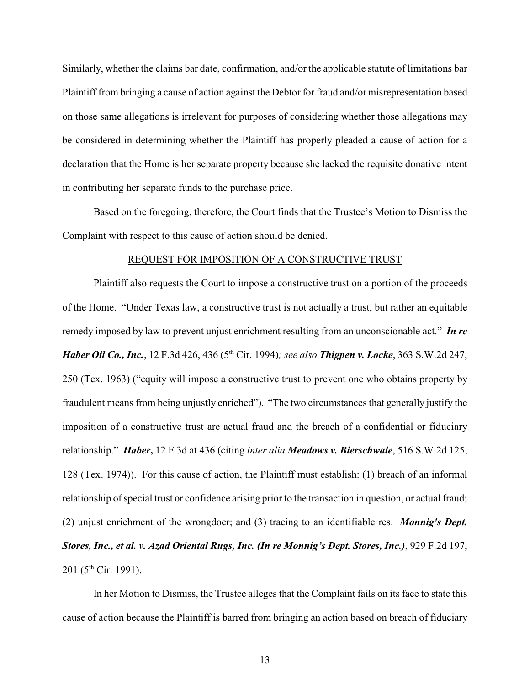Similarly, whether the claims bar date, confirmation, and/or the applicable statute of limitations bar Plaintiff from bringing a cause of action against the Debtor for fraud and/or misrepresentation based on those same allegations is irrelevant for purposes of considering whether those allegations may be considered in determining whether the Plaintiff has properly pleaded a cause of action for a declaration that the Home is her separate property because she lacked the requisite donative intent in contributing her separate funds to the purchase price.

Based on the foregoing, therefore, the Court finds that the Trustee's Motion to Dismiss the Complaint with respect to this cause of action should be denied.

#### REQUEST FOR IMPOSITION OF A CONSTRUCTIVE TRUST

Plaintiff also requests the Court to impose a constructive trust on a portion of the proceeds of the Home. "Under Texas law, a constructive trust is not actually a trust, but rather an equitable remedy imposed by law to prevent unjust enrichment resulting from an unconscionable act." *In re Haber Oil Co., Inc.*, 12 F.3d 426, 436 (5<sup>th</sup> Cir. 1994); see also *Thigpen v. Locke*, 363 S.W.2d 247, 250 (Tex. 1963) ("equity will impose a constructive trust to prevent one who obtains property by fraudulent means from being unjustly enriched"). "The two circumstances that generally justify the imposition of a constructive trust are actual fraud and the breach of a confidential or fiduciary relationship." *Haber***,** 12 F.3d at 436 (citing *inter alia Meadows v. Bierschwale*, 516 S.W.2d 125, 128 (Tex. 1974)). For this cause of action, the Plaintiff must establish: (1) breach of an informal relationship of special trust or confidence arising prior to the transaction in question, or actual fraud; (2) unjust enrichment of the wrongdoer; and (3) tracing to an identifiable res. *Monnig's Dept. Stores, Inc., et al. v. Azad Oriental Rugs, Inc. (In re Monnig's Dept. Stores, Inc.)*, 929 F.2d 197, 201 ( $5^{\text{th}}$  Cir. 1991).

In her Motion to Dismiss, the Trustee alleges that the Complaint fails on its face to state this cause of action because the Plaintiff is barred from bringing an action based on breach of fiduciary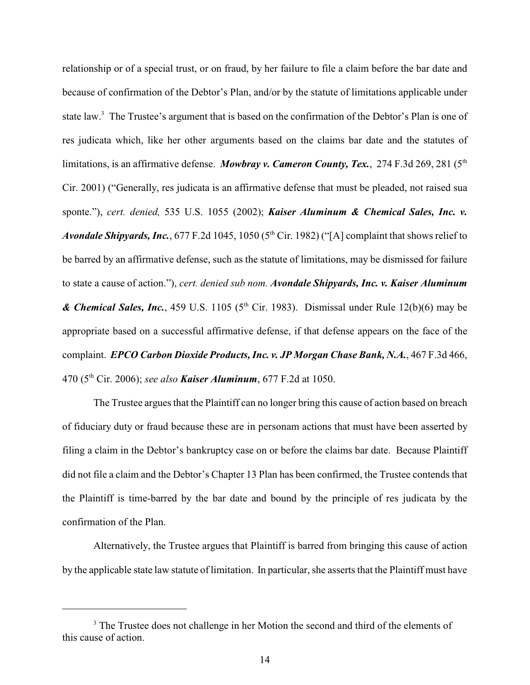relationship or of a special trust, or on fraud, by her failure to file a claim before the bar date and because of confirmation of the Debtor's Plan, and/or by the statute of limitations applicable under state law.<sup>3</sup> The Trustee's argument that is based on the confirmation of the Debtor's Plan is one of res judicata which, like her other arguments based on the claims bar date and the statutes of limitations, is an affirmative defense. *Mowbray v. Cameron County, Tex.*, 274 F.3d 269, 281 (5<sup>th</sup> Cir. 2001) ("Generally, res judicata is an affirmative defense that must be pleaded, not raised sua sponte."), *cert. denied,* 535 U.S. 1055 (2002); *Kaiser Aluminum & Chemical Sales, Inc. v.* Avondale Shipyards, Inc., 677 F.2d 1045, 1050 (5<sup>th</sup> Cir. 1982) ("[A] complaint that shows relief to be barred by an affirmative defense, such as the statute of limitations, may be dismissed for failure to state a cause of action."), *cert. denied sub nom. Avondale Shipyards, Inc. v. Kaiser Aluminum* **& Chemical Sales, Inc.**, 459 U.S. 1105 (5<sup>th</sup> Cir. 1983). Dismissal under Rule 12(b)(6) may be appropriate based on a successful affirmative defense, if that defense appears on the face of the complaint. *EPCO Carbon Dioxide Products,Inc. v. JP Morgan Chase Bank, N.A.*, 467 F.3d 466, 470 (5<sup>th</sup> Cir. 2006); *see also Kaiser Aluminum*, 677 F.2d at 1050.

The Trustee argues that the Plaintiff can no longer bring this cause of action based on breach of fiduciary duty or fraud because these are in personam actions that must have been asserted by filing a claim in the Debtor's bankruptcy case on or before the claims bar date. Because Plaintiff did not file a claim and the Debtor's Chapter 13 Plan has been confirmed, the Trustee contends that the Plaintiff is time-barred by the bar date and bound by the principle of res judicata by the confirmation of the Plan.

Alternatively, the Trustee argues that Plaintiff is barred from bringing this cause of action by the applicable state law statute of limitation. In particular, she asserts that the Plaintiff must have

<sup>&</sup>lt;sup>3</sup> The Trustee does not challenge in her Motion the second and third of the elements of this cause of action.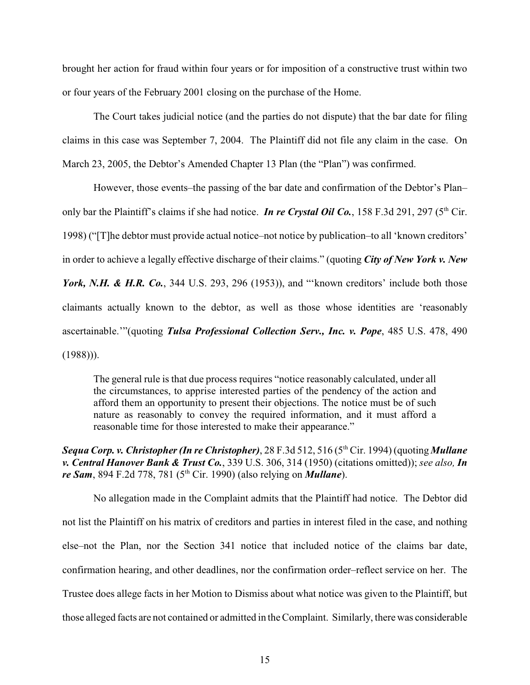brought her action for fraud within four years or for imposition of a constructive trust within two or four years of the February 2001 closing on the purchase of the Home.

The Court takes judicial notice (and the parties do not dispute) that the bar date for filing claims in this case was September 7, 2004. The Plaintiff did not file any claim in the case. On March 23, 2005, the Debtor's Amended Chapter 13 Plan (the "Plan") was confirmed.

However, those events–the passing of the bar date and confirmation of the Debtor's Plan– only bar the Plaintiff's claims if she had notice. *In re Crystal Oil Co.*, 158 F.3d 291, 297 (5<sup>th</sup> Cir. 1998) ("[T]he debtor must provide actual notice–not notice by publication–to all 'known creditors' in order to achieve a legally effective discharge of their claims." (quoting *City of New York v. New York, N.H. & H.R. Co.*, 344 U.S. 293, 296 (1953)), and "'known creditors' include both those claimants actually known to the debtor, as well as those whose identities are 'reasonably ascertainable.'"(quoting *Tulsa Professional Collection Serv., Inc. v. Pope*, 485 U.S. 478, 490  $(1988)$ ).

The general rule is that due process requires "notice reasonably calculated, under all the circumstances, to apprise interested parties of the pendency of the action and afford them an opportunity to present their objections. The notice must be of such nature as reasonably to convey the required information, and it must afford a reasonable time for those interested to make their appearance."

*Sequa Corp. v. Christopher (In re Christopher)*, 28 F.3d 512, 516 (5<sup>th</sup> Cir. 1994) (quoting *Mullane v. Central Hanover Bank & Trust Co.*, 339 U.S. 306, 314 (1950) (citations omitted)); *see also, In re Sam*, 894 F.2d 778, 781 (5<sup>th</sup> Cir. 1990) (also relying on *Mullane*).

No allegation made in the Complaint admits that the Plaintiff had notice. The Debtor did not list the Plaintiff on his matrix of creditors and parties in interest filed in the case, and nothing else–not the Plan, nor the Section 341 notice that included notice of the claims bar date, confirmation hearing, and other deadlines, nor the confirmation order–reflect service on her. The Trustee does allege facts in her Motion to Dismiss about what notice was given to the Plaintiff, but those alleged facts are not contained or admitted in the Complaint. Similarly, there was considerable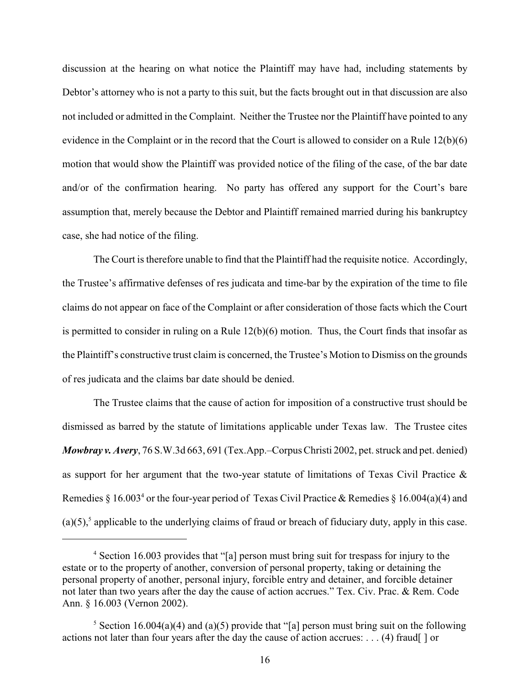discussion at the hearing on what notice the Plaintiff may have had, including statements by Debtor's attorney who is not a party to this suit, but the facts brought out in that discussion are also not included or admitted in the Complaint. Neither the Trustee nor the Plaintiff have pointed to any evidence in the Complaint or in the record that the Court is allowed to consider on a Rule 12(b)(6) motion that would show the Plaintiff was provided notice of the filing of the case, of the bar date and/or of the confirmation hearing. No party has offered any support for the Court's bare assumption that, merely because the Debtor and Plaintiff remained married during his bankruptcy case, she had notice of the filing.

The Court is therefore unable to find that the Plaintiff had the requisite notice. Accordingly, the Trustee's affirmative defenses of res judicata and time-bar by the expiration of the time to file claims do not appear on face of the Complaint or after consideration of those facts which the Court is permitted to consider in ruling on a Rule  $12(b)(6)$  motion. Thus, the Court finds that insofar as the Plaintiff's constructive trust claim is concerned, the Trustee's Motion to Dismiss on the grounds of res judicata and the claims bar date should be denied.

The Trustee claims that the cause of action for imposition of a constructive trust should be dismissed as barred by the statute of limitations applicable under Texas law. The Trustee cites *Mowbray v. Avery*, 76 S.W.3d 663, 691 (Tex.App.–Corpus Christi 2002, pet. struck and pet. denied) as support for her argument that the two-year statute of limitations of Texas Civil Practice & Remedies § 16.003<sup>4</sup> or the four-year period of Texas Civil Practice & Remedies § 16.004(a)(4) and  $(a)(5)$ , applicable to the underlying claims of fraud or breach of fiduciary duty, apply in this case.

<sup>&</sup>lt;sup>4</sup> Section 16.003 provides that "[a] person must bring suit for trespass for injury to the estate or to the property of another, conversion of personal property, taking or detaining the personal property of another, personal injury, forcible entry and detainer, and forcible detainer not later than two years after the day the cause of action accrues." Tex. Civ. Prac. & Rem. Code Ann. § 16.003 (Vernon 2002).

<sup>&</sup>lt;sup>5</sup> Section 16.004(a)(4) and (a)(5) provide that "[a] person must bring suit on the following actions not later than four years after the day the cause of action accrues: . . . (4) fraud[ ] or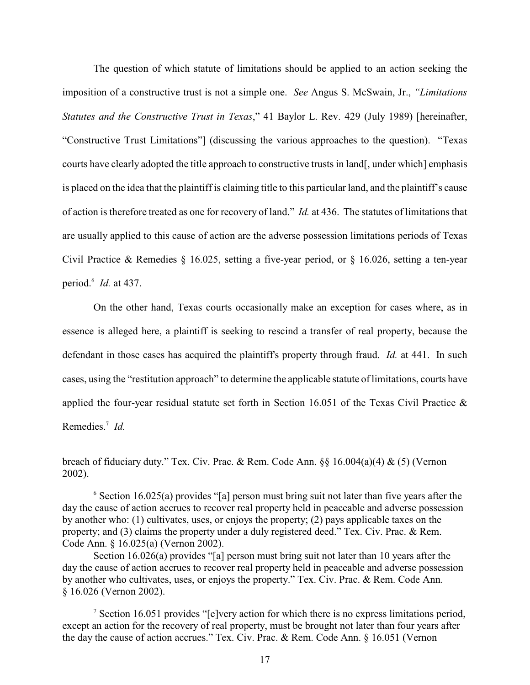The question of which statute of limitations should be applied to an action seeking the imposition of a constructive trust is not a simple one. *See* Angus S. McSwain, Jr., *"Limitations Statutes and the Constructive Trust in Texas*," 41 Baylor L. Rev. 429 (July 1989) [hereinafter, "Constructive Trust Limitations"] (discussing the various approaches to the question). "Texas courts have clearly adopted the title approach to constructive trusts in land[, under which] emphasis is placed on the idea that the plaintiff is claiming title to this particular land, and the plaintiff's cause of action is therefore treated as one for recovery of land." *Id.* at 436. The statutes of limitations that are usually applied to this cause of action are the adverse possession limitations periods of Texas Civil Practice & Remedies  $\S$  16.025, setting a five-year period, or  $\S$  16.026, setting a ten-year period.<sup>6</sup> *Id.* at 437.

On the other hand, Texas courts occasionally make an exception for cases where, as in essence is alleged here, a plaintiff is seeking to rescind a transfer of real property, because the defendant in those cases has acquired the plaintiff's property through fraud. *Id.* at 441. In such cases, using the "restitution approach" to determine the applicable statute of limitations, courts have applied the four-year residual statute set forth in Section 16.051 of the Texas Civil Practice & Remedies.<sup>7</sup> Id.

breach of fiduciary duty." Tex. Civ. Prac. & Rem. Code Ann. §§ 16.004(a)(4) & (5) (Vernon 2002).

 $6$  Section 16.025(a) provides "[a] person must bring suit not later than five years after the day the cause of action accrues to recover real property held in peaceable and adverse possession by another who: (1) cultivates, uses, or enjoys the property; (2) pays applicable taxes on the property; and (3) claims the property under a duly registered deed." Tex. Civ. Prac. & Rem. Code Ann. § 16.025(a) (Vernon 2002).

Section 16.026(a) provides "[a] person must bring suit not later than 10 years after the day the cause of action accrues to recover real property held in peaceable and adverse possession by another who cultivates, uses, or enjoys the property." Tex. Civ. Prac. & Rem. Code Ann. § 16.026 (Vernon 2002).

 $\frac{1}{2}$  Section 16.051 provides "[e]very action for which there is no express limitations period, except an action for the recovery of real property, must be brought not later than four years after the day the cause of action accrues." Tex. Civ. Prac. & Rem. Code Ann. § 16.051 (Vernon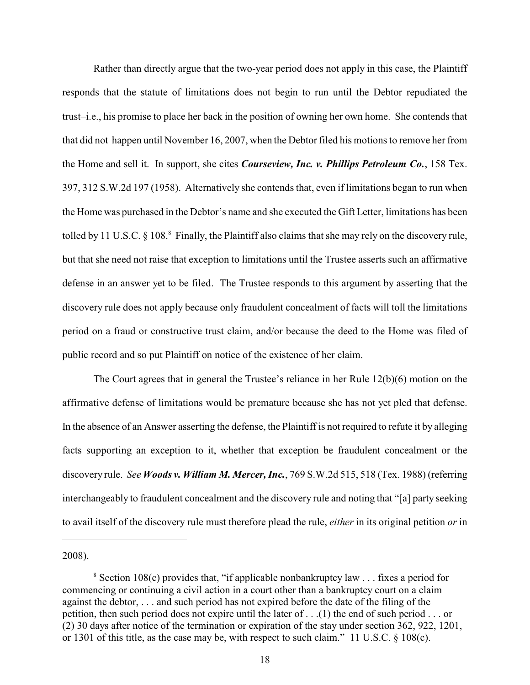Rather than directly argue that the two-year period does not apply in this case, the Plaintiff responds that the statute of limitations does not begin to run until the Debtor repudiated the trust–i.e., his promise to place her back in the position of owning her own home. She contends that that did not happen until November 16, 2007, when the Debtor filed his motions to remove her from the Home and sell it. In support, she cites *Courseview, Inc. v. Phillips Petroleum Co.*, 158 Tex. 397, 312 S.W.2d 197 (1958). Alternatively she contends that, even if limitations began to run when the Home was purchased in the Debtor's name and she executed the Gift Letter, limitations has been tolled by 11 U.S.C. § 108.<sup>8</sup> Finally, the Plaintiff also claims that she may rely on the discovery rule, but that she need not raise that exception to limitations until the Trustee asserts such an affirmative defense in an answer yet to be filed. The Trustee responds to this argument by asserting that the discovery rule does not apply because only fraudulent concealment of facts will toll the limitations period on a fraud or constructive trust claim, and/or because the deed to the Home was filed of public record and so put Plaintiff on notice of the existence of her claim.

The Court agrees that in general the Trustee's reliance in her Rule 12(b)(6) motion on the affirmative defense of limitations would be premature because she has not yet pled that defense. In the absence of an Answer asserting the defense, the Plaintiff is not required to refute it by alleging facts supporting an exception to it, whether that exception be fraudulent concealment or the discovery rule. *See Woods v. William M. Mercer, Inc.*, 769 S.W.2d 515, 518 (Tex. 1988) (referring interchangeably to fraudulent concealment and the discovery rule and noting that "[a] party seeking to avail itself of the discovery rule must therefore plead the rule, *either* in its original petition *or* in

2008).

 $\frac{8}{3}$  Section 108(c) provides that, "if applicable nonbankruptcy law . . . fixes a period for commencing or continuing a civil action in a court other than a bankruptcy court on a claim against the debtor, . . . and such period has not expired before the date of the filing of the petition, then such period does not expire until the later of . . .(1) the end of such period . . . or (2) 30 days after notice of the termination or expiration of the stay under section 362, 922, 1201, or 1301 of this title, as the case may be, with respect to such claim." 11 U.S.C. § 108(c).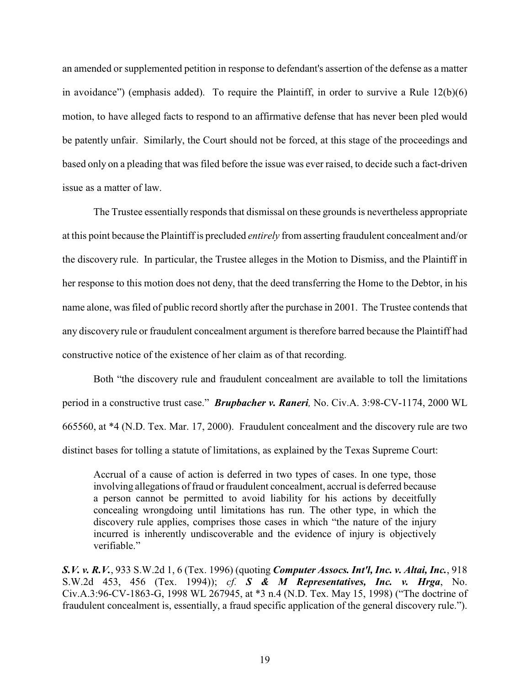an amended or supplemented petition in response to defendant's assertion of the defense as a matter in avoidance") (emphasis added). To require the Plaintiff, in order to survive a Rule  $12(b)(6)$ motion, to have alleged facts to respond to an affirmative defense that has never been pled would be patently unfair. Similarly, the Court should not be forced, at this stage of the proceedings and based only on a pleading that was filed before the issue was ever raised, to decide such a fact-driven issue as a matter of law.

The Trustee essentially responds that dismissal on these grounds is nevertheless appropriate at this point because the Plaintiff is precluded *entirely* from asserting fraudulent concealment and/or the discovery rule. In particular, the Trustee alleges in the Motion to Dismiss, and the Plaintiff in her response to this motion does not deny, that the deed transferring the Home to the Debtor, in his name alone, was filed of public record shortly after the purchase in 2001. The Trustee contends that any discovery rule or fraudulent concealment argument is therefore barred because the Plaintiff had constructive notice of the existence of her claim as of that recording.

Both "the discovery rule and fraudulent concealment are available to toll the limitations period in a constructive trust case." *Brupbacher v. Raneri,* No. Civ.A. 3:98-CV-1174, 2000 WL 665560, at \*4 (N.D. Tex. Mar. 17, 2000). Fraudulent concealment and the discovery rule are two distinct bases for tolling a statute of limitations, as explained by the Texas Supreme Court:

Accrual of a cause of action is deferred in two types of cases. In one type, those involving allegations of fraud or fraudulent concealment, accrual is deferred because a person cannot be permitted to avoid liability for his actions by deceitfully concealing wrongdoing until limitations has run. The other type, in which the discovery rule applies, comprises those cases in which "the nature of the injury incurred is inherently undiscoverable and the evidence of injury is objectively verifiable."

*S.V. v. R.V.*, 933 S.W.2d 1, 6 (Tex. 1996) (quoting *Computer Assocs. Int'l, Inc. v. Altai, Inc.*, 918 S.W.2d 453, 456 (Tex. 1994)); *cf. S & M Representatives, Inc. v. Hrga*, No. Civ.A.3:96-CV-1863-G, 1998 WL 267945, at \*3 n.4 (N.D. Tex. May 15, 1998) ("The doctrine of fraudulent concealment is, essentially, a fraud specific application of the general discovery rule.").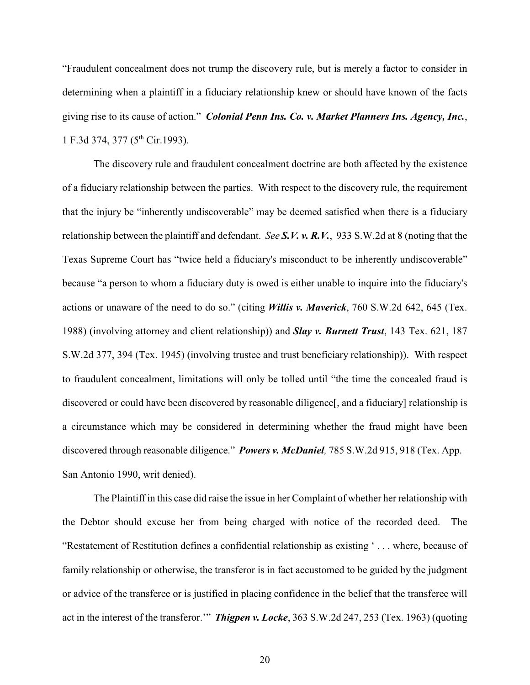"Fraudulent concealment does not trump the discovery rule, but is merely a factor to consider in determining when a plaintiff in a fiduciary relationship knew or should have known of the facts giving rise to its cause of action." *Colonial Penn Ins. Co. v. Market Planners Ins. Agency, Inc.*, 1 F.3d 374, 377 (5<sup>th</sup> Cir.1993).

The discovery rule and fraudulent concealment doctrine are both affected by the existence of a fiduciary relationship between the parties. With respect to the discovery rule, the requirement that the injury be "inherently undiscoverable" may be deemed satisfied when there is a fiduciary relationship between the plaintiff and defendant. *See S.V. v. R.V.*, 933 S.W.2d at 8 (noting that the Texas Supreme Court has "twice held a fiduciary's misconduct to be inherently undiscoverable" because "a person to whom a fiduciary duty is owed is either unable to inquire into the fiduciary's actions or unaware of the need to do so." (citing *Willis v. Maverick*, 760 S.W.2d 642, 645 (Tex. 1988) (involving attorney and client relationship)) and *Slay v. Burnett Trust*, 143 Tex. 621, 187 S.W.2d 377, 394 (Tex. 1945) (involving trustee and trust beneficiary relationship)). With respect to fraudulent concealment, limitations will only be tolled until "the time the concealed fraud is discovered or could have been discovered by reasonable diligence[, and a fiduciary] relationship is a circumstance which may be considered in determining whether the fraud might have been discovered through reasonable diligence." *Powers v. McDaniel,* 785 S.W.2d 915, 918 (Tex. App.– San Antonio 1990, writ denied).

The Plaintiff in this case did raise the issue in her Complaint of whether her relationship with the Debtor should excuse her from being charged with notice of the recorded deed. The "Restatement of Restitution defines a confidential relationship as existing ' . . . where, because of family relationship or otherwise, the transferor is in fact accustomed to be guided by the judgment or advice of the transferee or is justified in placing confidence in the belief that the transferee will act in the interest of the transferor.'" *Thigpen v. Locke*, 363 S.W.2d 247, 253 (Tex. 1963) (quoting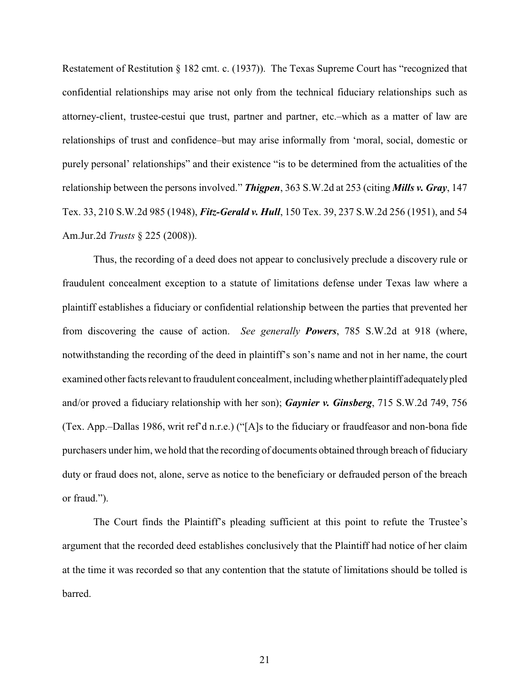Restatement of Restitution § 182 cmt. c. (1937)). The Texas Supreme Court has "recognized that confidential relationships may arise not only from the technical fiduciary relationships such as attorney-client, trustee-cestui que trust, partner and partner, etc.–which as a matter of law are relationships of trust and confidence–but may arise informally from 'moral, social, domestic or purely personal' relationships" and their existence "is to be determined from the actualities of the relationship between the persons involved." *Thigpen*, 363 S.W.2d at 253 (citing *Mills v. Gray*, 147 Tex. 33, 210 S.W.2d 985 (1948), *Fitz-Gerald v. Hull*, 150 Tex. 39, 237 S.W.2d 256 (1951), and 54 Am.Jur.2d *Trusts* § 225 (2008)).

Thus, the recording of a deed does not appear to conclusively preclude a discovery rule or fraudulent concealment exception to a statute of limitations defense under Texas law where a plaintiff establishes a fiduciary or confidential relationship between the parties that prevented her from discovering the cause of action. *See generally Powers*, 785 S.W.2d at 918 (where, notwithstanding the recording of the deed in plaintiff's son's name and not in her name, the court examined other facts relevant to fraudulent concealment, including whether plaintiff adequately pled and/or proved a fiduciary relationship with her son); *Gaynier v. Ginsberg*, 715 S.W.2d 749, 756 (Tex. App.–Dallas 1986, writ ref'd n.r.e.) ("[A]s to the fiduciary or fraudfeasor and non-bona fide purchasers under him, we hold that the recording of documents obtained through breach of fiduciary duty or fraud does not, alone, serve as notice to the beneficiary or defrauded person of the breach or fraud.").

The Court finds the Plaintiff's pleading sufficient at this point to refute the Trustee's argument that the recorded deed establishes conclusively that the Plaintiff had notice of her claim at the time it was recorded so that any contention that the statute of limitations should be tolled is barred.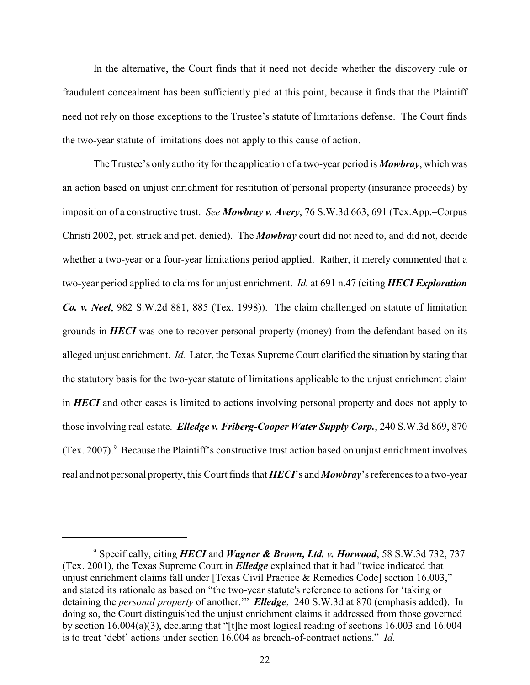In the alternative, the Court finds that it need not decide whether the discovery rule or fraudulent concealment has been sufficiently pled at this point, because it finds that the Plaintiff need not rely on those exceptions to the Trustee's statute of limitations defense. The Court finds the two-year statute of limitations does not apply to this cause of action.

The Trustee's only authority for the application of a two-year period is *Mowbray*, which was an action based on unjust enrichment for restitution of personal property (insurance proceeds) by imposition of a constructive trust. *See Mowbray v. Avery*, 76 S.W.3d 663, 691 (Tex.App.–Corpus Christi 2002, pet. struck and pet. denied). The *Mowbray* court did not need to, and did not, decide whether a two-year or a four-year limitations period applied. Rather, it merely commented that a two-year period applied to claims for unjust enrichment. *Id.* at 691 n.47 (citing *HECI Exploration Co. v. Neel*, 982 S.W.2d 881, 885 (Tex. 1998)). The claim challenged on statute of limitation grounds in *HECI* was one to recover personal property (money) from the defendant based on its alleged unjust enrichment. *Id.* Later, the Texas Supreme Court clarified the situation by stating that the statutory basis for the two-year statute of limitations applicable to the unjust enrichment claim in *HECI* and other cases is limited to actions involving personal property and does not apply to those involving real estate. *Elledge v. Friberg-Cooper Water Supply Corp.*, 240 S.W.3d 869, 870 (Tex. 2007). $9$  Because the Plaintiff's constructive trust action based on unjust enrichment involves real and not personal property, this Court finds that *HECI*'s and *Mowbray*'s references to a two-year

Specifically, citing *HECI* and *Wagner & Brown, Ltd. v. Horwood*, 58 S.W.3d 732, 737 <sup>9</sup> (Tex. 2001), the Texas Supreme Court in *Elledge* explained that it had "twice indicated that unjust enrichment claims fall under [Texas Civil Practice & Remedies Code] section 16.003," and stated its rationale as based on "the two-year statute's reference to actions for 'taking or detaining the *personal property* of another.'" *Elledge*, 240 S.W.3d at 870 (emphasis added). In doing so, the Court distinguished the unjust enrichment claims it addressed from those governed by section 16.004(a)(3), declaring that "[t]he most logical reading of sections 16.003 and 16.004 is to treat 'debt' actions under section 16.004 as breach-of-contract actions." *Id.*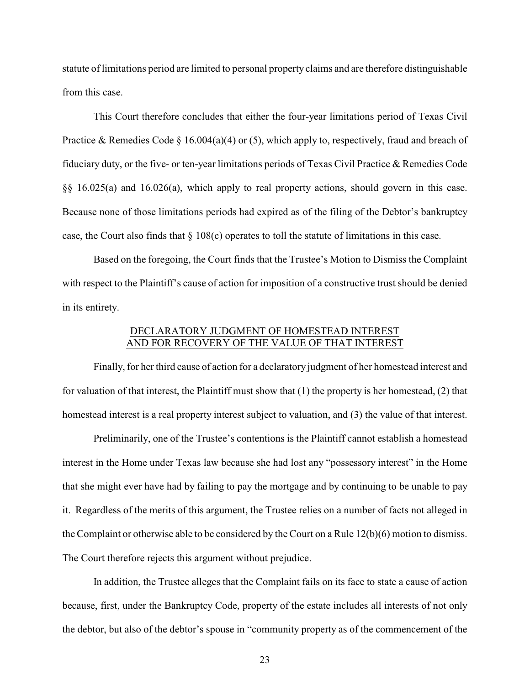statute of limitations period are limited to personal property claims and are therefore distinguishable from this case.

This Court therefore concludes that either the four-year limitations period of Texas Civil Practice & Remedies Code § 16.004(a)(4) or (5), which apply to, respectively, fraud and breach of fiduciary duty, or the five- or ten-year limitations periods of Texas Civil Practice & Remedies Code §§ 16.025(a) and 16.026(a), which apply to real property actions, should govern in this case. Because none of those limitations periods had expired as of the filing of the Debtor's bankruptcy case, the Court also finds that § 108(c) operates to toll the statute of limitations in this case.

Based on the foregoing, the Court finds that the Trustee's Motion to Dismiss the Complaint with respect to the Plaintiff's cause of action for imposition of a constructive trust should be denied in its entirety.

## DECLARATORY JUDGMENT OF HOMESTEAD INTEREST AND FOR RECOVERY OF THE VALUE OF THAT INTEREST

Finally, for her third cause of action for a declaratory judgment of her homestead interest and for valuation of that interest, the Plaintiff must show that (1) the property is her homestead, (2) that homestead interest is a real property interest subject to valuation, and (3) the value of that interest.

Preliminarily, one of the Trustee's contentions is the Plaintiff cannot establish a homestead interest in the Home under Texas law because she had lost any "possessory interest" in the Home that she might ever have had by failing to pay the mortgage and by continuing to be unable to pay it. Regardless of the merits of this argument, the Trustee relies on a number of facts not alleged in the Complaint or otherwise able to be considered by the Court on a Rule 12(b)(6) motion to dismiss. The Court therefore rejects this argument without prejudice.

In addition, the Trustee alleges that the Complaint fails on its face to state a cause of action because, first, under the Bankruptcy Code, property of the estate includes all interests of not only the debtor, but also of the debtor's spouse in "community property as of the commencement of the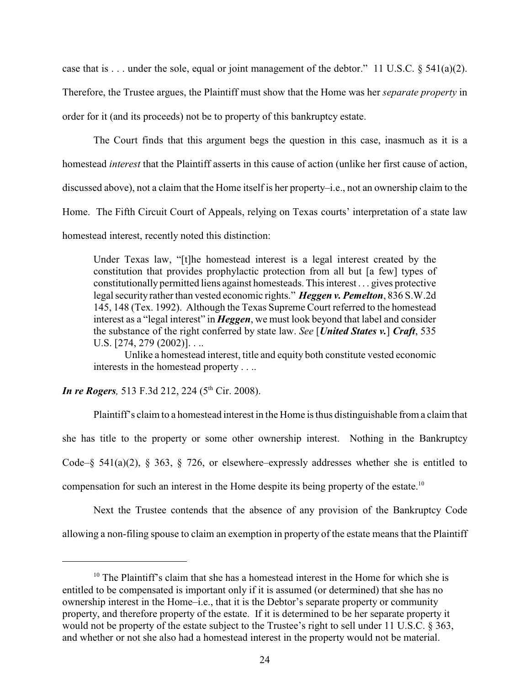case that is . . . under the sole, equal or joint management of the debtor." 11 U.S.C.  $\S$  541(a)(2). Therefore, the Trustee argues, the Plaintiff must show that the Home was her *separate property* in order for it (and its proceeds) not be to property of this bankruptcy estate.

The Court finds that this argument begs the question in this case, inasmuch as it is a homestead *interest* that the Plaintiff asserts in this cause of action (unlike her first cause of action, discussed above), not a claim that the Home itself is her property–i.e., not an ownership claim to the Home. The Fifth Circuit Court of Appeals, relying on Texas courts' interpretation of a state law homestead interest, recently noted this distinction:

Under Texas law, "[t]he homestead interest is a legal interest created by the constitution that provides prophylactic protection from all but [a few] types of constitutionally permitted liens against homesteads. This interest . . . gives protective legal security rather than vested economic rights." *Heggen v. Pemelton*, 836 S.W.2d 145, 148 (Tex. 1992). Although the Texas Supreme Court referred to the homestead interest as a "legal interest" in *Heggen*, we must look beyond that label and consider the substance of the right conferred by state law. *See* [*United States v.*] *Craft*, 535 U.S. [274, 279 (2002)]. . ..

Unlike a homestead interest, title and equity both constitute vested economic interests in the homestead property . . ..

*In re Rogers*, 513 F.3d 212, 224 (5<sup>th</sup> Cir. 2008).

Plaintiff's claim to a homestead interest in the Home is thus distinguishable from a claim that she has title to the property or some other ownership interest. Nothing in the Bankruptcy Code–§ 541(a)(2), § 363, § 726, or elsewhere–expressly addresses whether she is entitled to compensation for such an interest in the Home despite its being property of the estate.<sup>10</sup>

Next the Trustee contends that the absence of any provision of the Bankruptcy Code allowing a non-filing spouse to claim an exemption in property of the estate means that the Plaintiff

 $10$  The Plaintiff's claim that she has a homestead interest in the Home for which she is entitled to be compensated is important only if it is assumed (or determined) that she has no ownership interest in the Home–i.e., that it is the Debtor's separate property or community property, and therefore property of the estate. If it is determined to be her separate property it would not be property of the estate subject to the Trustee's right to sell under 11 U.S.C. § 363, and whether or not she also had a homestead interest in the property would not be material.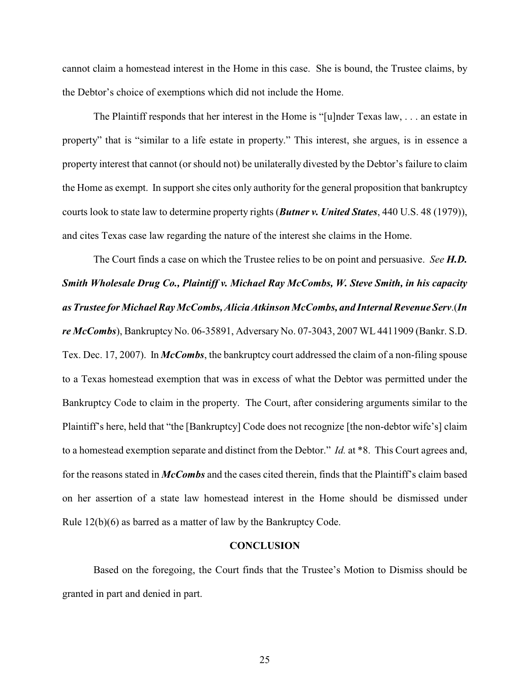cannot claim a homestead interest in the Home in this case. She is bound, the Trustee claims, by the Debtor's choice of exemptions which did not include the Home.

The Plaintiff responds that her interest in the Home is "[u]nder Texas law, . . . an estate in property" that is "similar to a life estate in property." This interest, she argues, is in essence a property interest that cannot (or should not) be unilaterally divested by the Debtor's failure to claim the Home as exempt. In support she cites only authority for the general proposition that bankruptcy courts look to state law to determine property rights (*Butner v. United States*, 440 U.S. 48 (1979)), and cites Texas case law regarding the nature of the interest she claims in the Home.

The Court finds a case on which the Trustee relies to be on point and persuasive. *See H.D. Smith Wholesale Drug Co., Plaintiff v. Michael Ray McCombs, W. Steve Smith, in his capacity as Trustee for Michael Ray McCombs, Alicia Atkinson McCombs, and Internal Revenue Serv*.(*In re McCombs*), Bankruptcy No. 06-35891, Adversary No. 07-3043, 2007 WL 4411909 (Bankr. S.D. Tex. Dec. 17, 2007). In *McCombs*, the bankruptcy court addressed the claim of a non-filing spouse to a Texas homestead exemption that was in excess of what the Debtor was permitted under the Bankruptcy Code to claim in the property. The Court, after considering arguments similar to the Plaintiff's here, held that "the [Bankruptcy] Code does not recognize [the non-debtor wife's] claim to a homestead exemption separate and distinct from the Debtor." *Id.* at \*8. This Court agrees and, for the reasons stated in *McCombs* and the cases cited therein, finds that the Plaintiff's claim based on her assertion of a state law homestead interest in the Home should be dismissed under Rule 12(b)(6) as barred as a matter of law by the Bankruptcy Code.

### **CONCLUSION**

Based on the foregoing, the Court finds that the Trustee's Motion to Dismiss should be granted in part and denied in part.